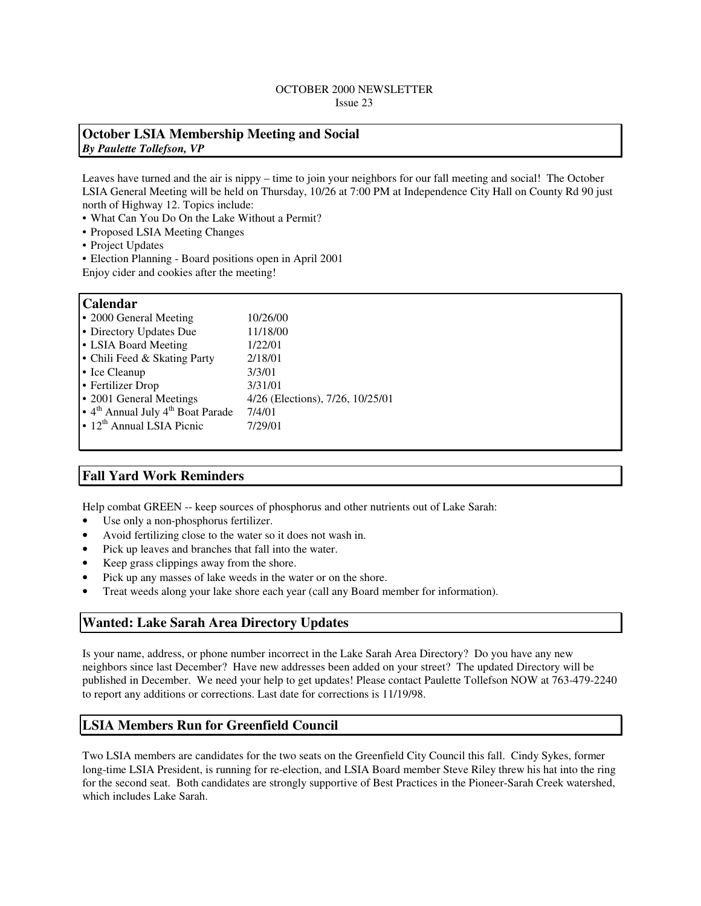### OCTOBER 2000 NEWSLETTER Issue 23

## **October LSIA Membership Meeting and Social**  *By Paulette Tollefson, VP*

Leaves have turned and the air is nippy – time to join your neighbors for our fall meeting and social! The October LSIA General Meeting will be held on Thursday, 10/26 at 7:00 PM at Independence City Hall on County Rd 90 just north of Highway 12. Topics include:

- What Can You Do On the Lake Without a Permit?
- Proposed LSIA Meeting Changes
- Project Updates
- Election Planning Board positions open in April 2001

Enjoy cider and cookies after the meeting!

# **Calendar**

| • 2000 General Meeting                                    | 10/26/00                         |
|-----------------------------------------------------------|----------------------------------|
| • Directory Updates Due                                   | 11/18/00                         |
| • LSIA Board Meeting                                      | 1/22/01                          |
| • Chili Feed & Skating Party                              | 2/18/01                          |
| • Ice Cleanup                                             | 3/3/01                           |
| • Fertilizer Drop                                         | 3/31/01                          |
| • 2001 General Meetings                                   | 4/26 (Elections), 7/26, 10/25/01 |
| • 4 <sup>th</sup> Annual July 4 <sup>th</sup> Boat Parade | 7/4/01                           |
| $\cdot$ 12 <sup>th</sup> Annual LSIA Picnic               | 7/29/01                          |
|                                                           |                                  |

# **Fall Yard Work Reminders**

Help combat GREEN -- keep sources of phosphorus and other nutrients out of Lake Sarah:

- Use only a non-phosphorus fertilizer.
- Avoid fertilizing close to the water so it does not wash in.
- Pick up leaves and branches that fall into the water.
- Keep grass clippings away from the shore.
- Pick up any masses of lake weeds in the water or on the shore.
- Treat weeds along your lake shore each year (call any Board member for information).

# **Wanted: Lake Sarah Area Directory Updates**

Is your name, address, or phone number incorrect in the Lake Sarah Area Directory? Do you have any new neighbors since last December? Have new addresses been added on your street? The updated Directory will be published in December. We need your help to get updates! Please contact Paulette Tollefson NOW at 763-479-2240 to report any additions or corrections. Last date for corrections is 11/19/98.

# **LSIA Members Run for Greenfield Council**

Two LSIA members are candidates for the two seats on the Greenfield City Council this fall. Cindy Sykes, former long-time LSIA President, is running for re-election, and LSIA Board member Steve Riley threw his hat into the ring for the second seat. Both candidates are strongly supportive of Best Practices in the Pioneer-Sarah Creek watershed, which includes Lake Sarah.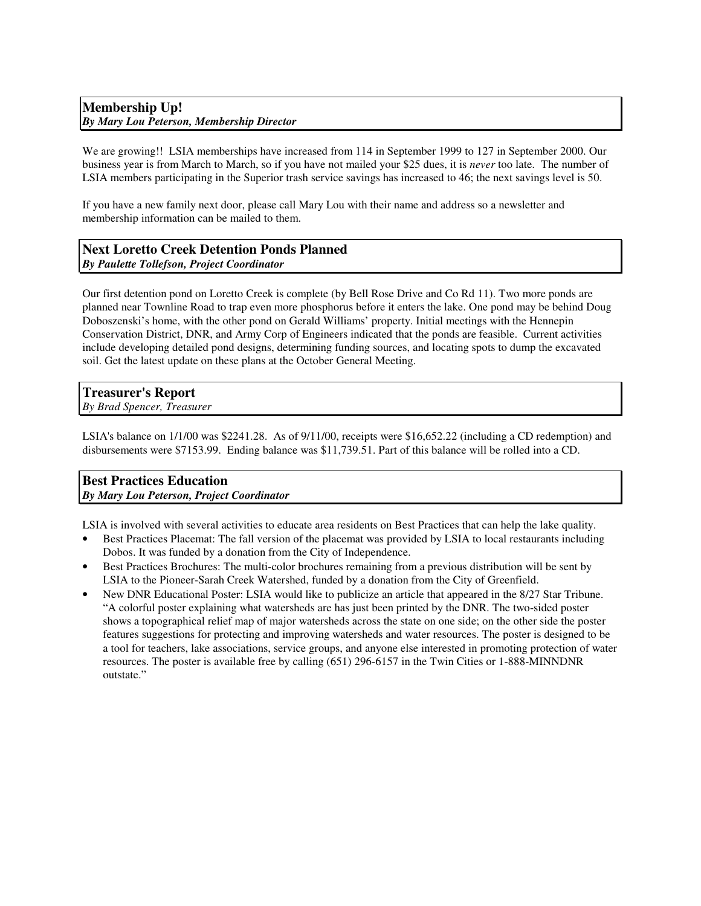# **Membership Up!**  *By Mary Lou Peterson, Membership Director*

We are growing!! LSIA memberships have increased from 114 in September 1999 to 127 in September 2000. Our business year is from March to March, so if you have not mailed your \$25 dues, it is *never* too late. The number of LSIA members participating in the Superior trash service savings has increased to 46; the next savings level is 50.

If you have a new family next door, please call Mary Lou with their name and address so a newsletter and membership information can be mailed to them.

# **Next Loretto Creek Detention Ponds Planned**  *By Paulette Tollefson, Project Coordinator*

Our first detention pond on Loretto Creek is complete (by Bell Rose Drive and Co Rd 11). Two more ponds are planned near Townline Road to trap even more phosphorus before it enters the lake. One pond may be behind Doug Doboszenski's home, with the other pond on Gerald Williams' property. Initial meetings with the Hennepin Conservation District, DNR, and Army Corp of Engineers indicated that the ponds are feasible. Current activities include developing detailed pond designs, determining funding sources, and locating spots to dump the excavated soil. Get the latest update on these plans at the October General Meeting.

# **Treasurer's Report**

*By Brad Spencer, Treasurer*

LSIA's balance on 1/1/00 was \$2241.28. As of 9/11/00, receipts were \$16,652.22 (including a CD redemption) and disbursements were \$7153.99. Ending balance was \$11,739.51. Part of this balance will be rolled into a CD.

# **Best Practices Education**  *By Mary Lou Peterson, Project Coordinator*

LSIA is involved with several activities to educate area residents on Best Practices that can help the lake quality.

- Best Practices Placemat: The fall version of the placemat was provided by LSIA to local restaurants including Dobos. It was funded by a donation from the City of Independence.
- Best Practices Brochures: The multi-color brochures remaining from a previous distribution will be sent by LSIA to the Pioneer-Sarah Creek Watershed, funded by a donation from the City of Greenfield.
- New DNR Educational Poster: LSIA would like to publicize an article that appeared in the 8/27 Star Tribune. "A colorful poster explaining what watersheds are has just been printed by the DNR. The two-sided poster shows a topographical relief map of major watersheds across the state on one side; on the other side the poster features suggestions for protecting and improving watersheds and water resources. The poster is designed to be a tool for teachers, lake associations, service groups, and anyone else interested in promoting protection of water resources. The poster is available free by calling (651) 296-6157 in the Twin Cities or 1-888-MINNDNR outstate."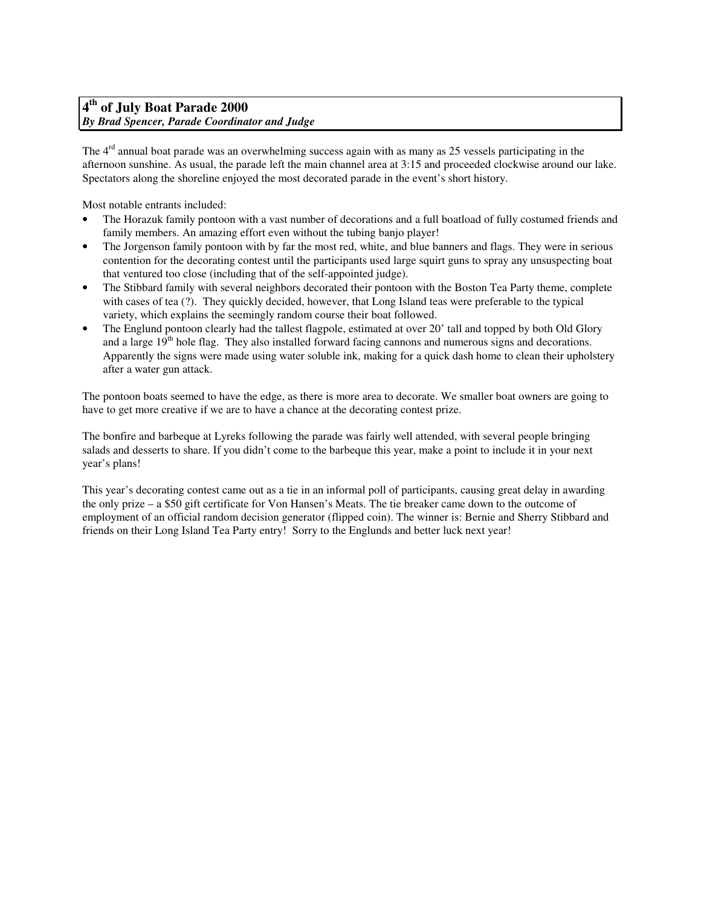# **4 th of July Boat Parade 2000**

# *By Brad Spencer, Parade Coordinator and Judge*

The 4<sup>rd</sup> annual boat parade was an overwhelming success again with as many as 25 vessels participating in the afternoon sunshine. As usual, the parade left the main channel area at 3:15 and proceeded clockwise around our lake. Spectators along the shoreline enjoyed the most decorated parade in the event's short history.

Most notable entrants included:

- The Horazuk family pontoon with a vast number of decorations and a full boatload of fully costumed friends and family members. An amazing effort even without the tubing banjo player!
- The Jorgenson family pontoon with by far the most red, white, and blue banners and flags. They were in serious contention for the decorating contest until the participants used large squirt guns to spray any unsuspecting boat that ventured too close (including that of the self-appointed judge).
- The Stibbard family with several neighbors decorated their pontoon with the Boston Tea Party theme, complete with cases of tea (?). They quickly decided, however, that Long Island teas were preferable to the typical variety, which explains the seemingly random course their boat followed.
- The Englund pontoon clearly had the tallest flagpole, estimated at over 20' tall and topped by both Old Glory and a large  $19<sup>th</sup>$  hole flag. They also installed forward facing cannons and numerous signs and decorations. Apparently the signs were made using water soluble ink, making for a quick dash home to clean their upholstery after a water gun attack.

The pontoon boats seemed to have the edge, as there is more area to decorate. We smaller boat owners are going to have to get more creative if we are to have a chance at the decorating contest prize.

The bonfire and barbeque at Lyreks following the parade was fairly well attended, with several people bringing salads and desserts to share. If you didn't come to the barbeque this year, make a point to include it in your next year's plans!

This year's decorating contest came out as a tie in an informal poll of participants, causing great delay in awarding the only prize – a \$50 gift certificate for Von Hansen's Meats. The tie breaker came down to the outcome of employment of an official random decision generator (flipped coin). The winner is: Bernie and Sherry Stibbard and friends on their Long Island Tea Party entry! Sorry to the Englunds and better luck next year!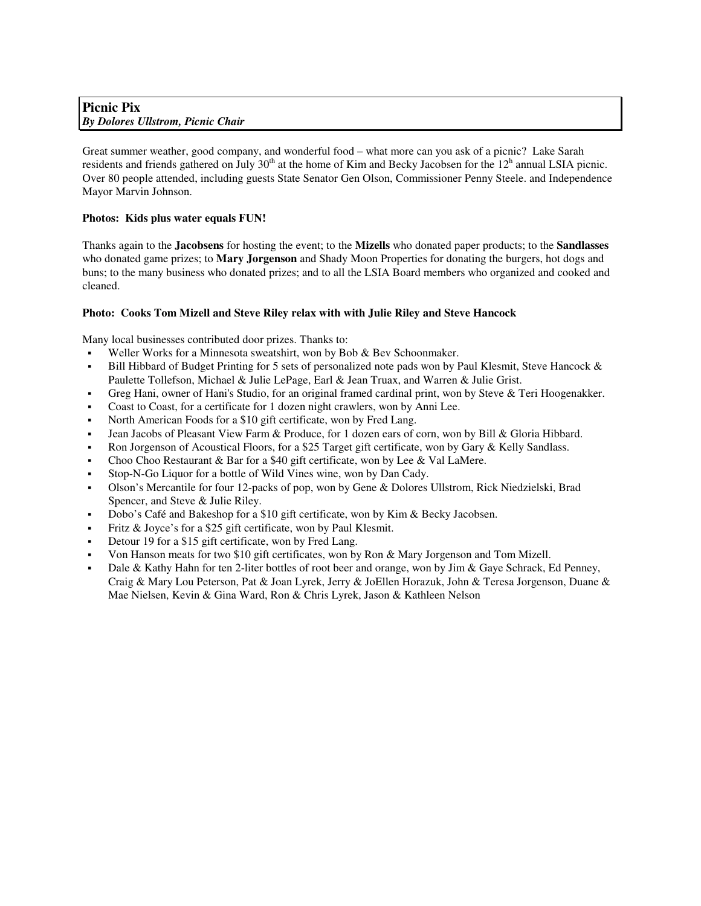### **Picnic Pix**  *By Dolores Ullstrom, Picnic Chair*

Great summer weather, good company, and wonderful food – what more can you ask of a picnic? Lake Sarah residents and friends gathered on July  $30<sup>th</sup>$  at the home of Kim and Becky Jacobsen for the  $12<sup>h</sup>$  annual LSIA picnic. Over 80 people attended, including guests State Senator Gen Olson, Commissioner Penny Steele. and Independence Mayor Marvin Johnson.

### **Photos: Kids plus water equals FUN!**

Thanks again to the **Jacobsens** for hosting the event; to the **Mizells** who donated paper products; to the **Sandlasses** who donated game prizes; to **Mary Jorgenson** and Shady Moon Properties for donating the burgers, hot dogs and buns; to the many business who donated prizes; and to all the LSIA Board members who organized and cooked and cleaned.

## **Photo: Cooks Tom Mizell and Steve Riley relax with with Julie Riley and Steve Hancock**

Many local businesses contributed door prizes. Thanks to:

- Weller Works for a Minnesota sweatshirt, won by Bob & Bev Schoonmaker.
- Bill Hibbard of Budget Printing for 5 sets of personalized note pads won by Paul Klesmit, Steve Hancock & Paulette Tollefson, Michael & Julie LePage, Earl & Jean Truax, and Warren & Julie Grist.
- Greg Hani, owner of Hani's Studio, for an original framed cardinal print, won by Steve & Teri Hoogenakker.
- Coast to Coast, for a certificate for 1 dozen night crawlers, won by Anni Lee.
- North American Foods for a \$10 gift certificate, won by Fred Lang.
- Jean Jacobs of Pleasant View Farm & Produce, for 1 dozen ears of corn, won by Bill & Gloria Hibbard.
- Ron Jorgenson of Acoustical Floors, for a \$25 Target gift certificate, won by Gary & Kelly Sandlass.
- Choo Choo Restaurant & Bar for a \$40 gift certificate, won by Lee & Val LaMere.
- Stop-N-Go Liquor for a bottle of Wild Vines wine, won by Dan Cady.
- Olson's Mercantile for four 12-packs of pop, won by Gene & Dolores Ullstrom, Rick Niedzielski, Brad Spencer, and Steve & Julie Riley.
- Dobo's Café and Bakeshop for a \$10 gift certificate, won by Kim & Becky Jacobsen.
- Fritz & Joyce's for a \$25 gift certificate, won by Paul Klesmit.
- Detour 19 for a \$15 gift certificate, won by Fred Lang.
- Von Hanson meats for two \$10 gift certificates, won by Ron & Mary Jorgenson and Tom Mizell.
- Dale & Kathy Hahn for ten 2-liter bottles of root beer and orange, won by Jim & Gaye Schrack, Ed Penney, Craig & Mary Lou Peterson, Pat & Joan Lyrek, Jerry & JoEllen Horazuk, John & Teresa Jorgenson, Duane & Mae Nielsen, Kevin & Gina Ward, Ron & Chris Lyrek, Jason & Kathleen Nelson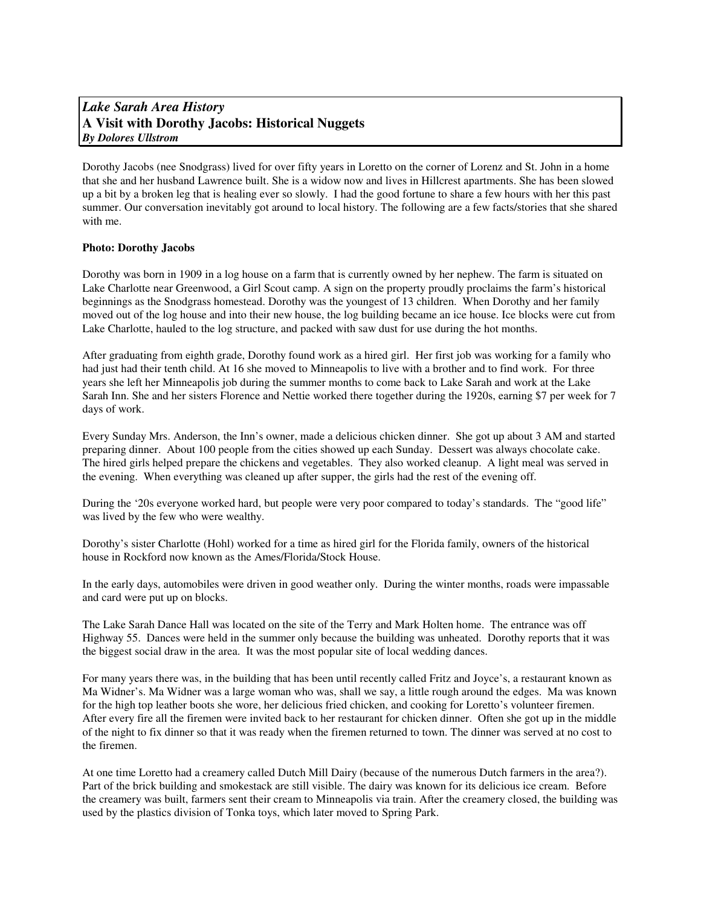# *Lake Sarah Area History*  **A Visit with Dorothy Jacobs: Historical Nuggets**  *By Dolores Ullstrom*

Dorothy Jacobs (nee Snodgrass) lived for over fifty years in Loretto on the corner of Lorenz and St. John in a home that she and her husband Lawrence built. She is a widow now and lives in Hillcrest apartments. She has been slowed up a bit by a broken leg that is healing ever so slowly. I had the good fortune to share a few hours with her this past summer. Our conversation inevitably got around to local history. The following are a few facts/stories that she shared with me.

### **Photo: Dorothy Jacobs**

Dorothy was born in 1909 in a log house on a farm that is currently owned by her nephew. The farm is situated on Lake Charlotte near Greenwood, a Girl Scout camp. A sign on the property proudly proclaims the farm's historical beginnings as the Snodgrass homestead. Dorothy was the youngest of 13 children. When Dorothy and her family moved out of the log house and into their new house, the log building became an ice house. Ice blocks were cut from Lake Charlotte, hauled to the log structure, and packed with saw dust for use during the hot months.

After graduating from eighth grade, Dorothy found work as a hired girl. Her first job was working for a family who had just had their tenth child. At 16 she moved to Minneapolis to live with a brother and to find work. For three years she left her Minneapolis job during the summer months to come back to Lake Sarah and work at the Lake Sarah Inn. She and her sisters Florence and Nettie worked there together during the 1920s, earning \$7 per week for 7 days of work.

Every Sunday Mrs. Anderson, the Inn's owner, made a delicious chicken dinner. She got up about 3 AM and started preparing dinner. About 100 people from the cities showed up each Sunday. Dessert was always chocolate cake. The hired girls helped prepare the chickens and vegetables. They also worked cleanup. A light meal was served in the evening. When everything was cleaned up after supper, the girls had the rest of the evening off.

During the '20s everyone worked hard, but people were very poor compared to today's standards. The "good life" was lived by the few who were wealthy.

Dorothy's sister Charlotte (Hohl) worked for a time as hired girl for the Florida family, owners of the historical house in Rockford now known as the Ames/Florida/Stock House.

In the early days, automobiles were driven in good weather only. During the winter months, roads were impassable and card were put up on blocks.

The Lake Sarah Dance Hall was located on the site of the Terry and Mark Holten home. The entrance was off Highway 55. Dances were held in the summer only because the building was unheated. Dorothy reports that it was the biggest social draw in the area. It was the most popular site of local wedding dances.

For many years there was, in the building that has been until recently called Fritz and Joyce's, a restaurant known as Ma Widner's. Ma Widner was a large woman who was, shall we say, a little rough around the edges. Ma was known for the high top leather boots she wore, her delicious fried chicken, and cooking for Loretto's volunteer firemen. After every fire all the firemen were invited back to her restaurant for chicken dinner. Often she got up in the middle of the night to fix dinner so that it was ready when the firemen returned to town. The dinner was served at no cost to the firemen.

At one time Loretto had a creamery called Dutch Mill Dairy (because of the numerous Dutch farmers in the area?). Part of the brick building and smokestack are still visible. The dairy was known for its delicious ice cream. Before the creamery was built, farmers sent their cream to Minneapolis via train. After the creamery closed, the building was used by the plastics division of Tonka toys, which later moved to Spring Park.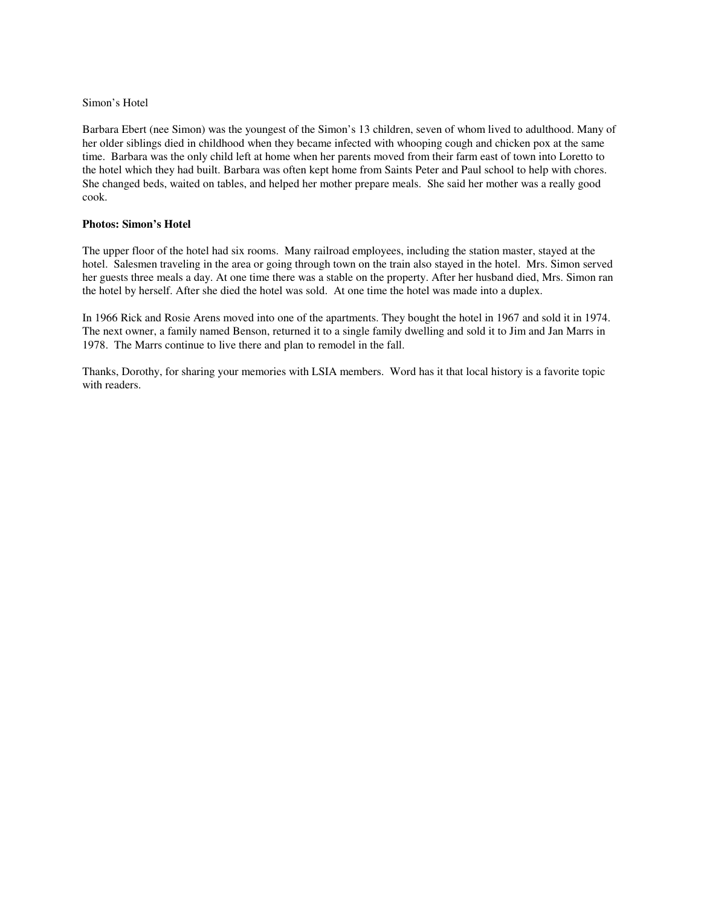#### Simon's Hotel

Barbara Ebert (nee Simon) was the youngest of the Simon's 13 children, seven of whom lived to adulthood. Many of her older siblings died in childhood when they became infected with whooping cough and chicken pox at the same time. Barbara was the only child left at home when her parents moved from their farm east of town into Loretto to the hotel which they had built. Barbara was often kept home from Saints Peter and Paul school to help with chores. She changed beds, waited on tables, and helped her mother prepare meals. She said her mother was a really good cook.

### **Photos: Simon's Hotel**

The upper floor of the hotel had six rooms. Many railroad employees, including the station master, stayed at the hotel. Salesmen traveling in the area or going through town on the train also stayed in the hotel. Mrs. Simon served her guests three meals a day. At one time there was a stable on the property. After her husband died, Mrs. Simon ran the hotel by herself. After she died the hotel was sold. At one time the hotel was made into a duplex.

In 1966 Rick and Rosie Arens moved into one of the apartments. They bought the hotel in 1967 and sold it in 1974. The next owner, a family named Benson, returned it to a single family dwelling and sold it to Jim and Jan Marrs in 1978. The Marrs continue to live there and plan to remodel in the fall.

Thanks, Dorothy, for sharing your memories with LSIA members. Word has it that local history is a favorite topic with readers.